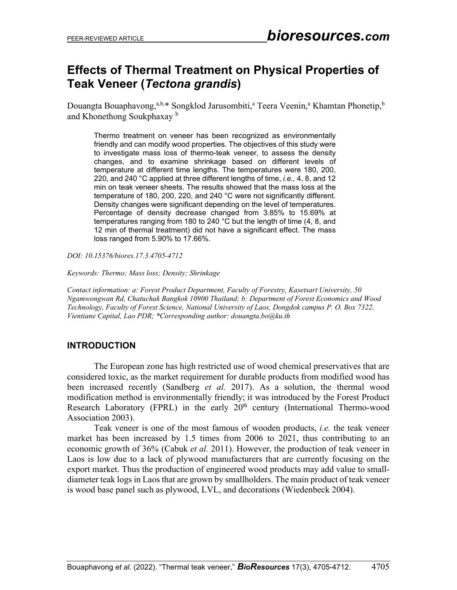# **Effects of Thermal Treatment on Physical Properties of Teak Veneer (***Tectona grandis***)**

Douangta Bouaphavong,<sup>a,b,</sup>\* Songklod Jarusombiti,<sup>a</sup> Teera Veenin,<sup>a</sup> Khamtan Phonetip,<sup>b</sup> and Khonethong Soukphaxay <sup>b</sup>

Thermo treatment on veneer has been recognized as environmentally friendly and can modify wood properties. The objectives of this study were to investigate mass loss of thermo-teak veneer, to assess the density changes, and to examine shrinkage based on different levels of temperature at different time lengths. The temperatures were 180, 200, 220, and 240 °C applied at three different lengths of time, *i.e.,* 4, 8, and 12 min on teak veneer sheets. The results showed that the mass loss at the temperature of 180, 200, 220, and 240 °C were not significantly different. Density changes were significant depending on the level of temperatures. Percentage of density decrease changed from 3.85% to 15.69% at temperatures ranging from 180 to 240 °C but the length of time (4, 8, and 12 min of thermal treatment) did not have a significant effect. The mass loss ranged from 5.90% to 17.66%.

*DOI: 10.15376/biores.17.3.4705-4712*

*Keywords: Thermo; Mass loss; Density; Shrinkage*

*Contact information: a: Forest Product Department, Faculty of Forestry, Kasetsart University, 50 Ngamwongwan Rd, Chatuchak Bangkok 10900 Thailand; b: Department of Forest Economics and Wood Technology, Faculty of Forest Science, National University of Laos, Dongdok campus P. O. Box 7322, Vientiane Capital, Lao PDR; \*Corresponding author[: douangta.bo@ku.th](mailto:douangta.bo@ku.th)*

## **INTRODUCTION**

The European zone has high restricted use of wood chemical preservatives that are considered toxic, as the market requirement for durable products from modified wood has been increased recently (Sandberg *et al.* 2017). As a solution, the thermal wood modification method is environmentally friendly; it was introduced by the Forest Product Research Laboratory (FPRL) in the early  $20<sup>th</sup>$  century (International Thermo-wood Association 2003).

Teak veneer is one of the most famous of wooden products, *i.e.* the teak veneer market has been increased by 1.5 times from 2006 to 2021, thus contributing to an economic growth of 36% (Cabuk *et al.* 2011). However, the production of teak veneer in Laos is low due to a lack of plywood manufacturers that are currently focusing on the export market. Thus the production of engineered wood products may add value to smalldiameter teak logs in Laos that are grown by smallholders. The main product of teak veneer is wood base panel such as plywood, LVL, and decorations (Wiedenbeck 2004).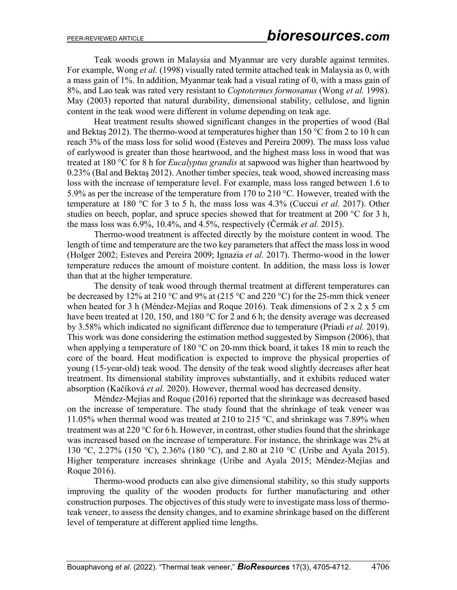Teak woods grown in Malaysia and Myanmar are very durable against termites. For example, Wong *et al.* (1998) visually rated termite attached teak in Malaysia as 0, with a mass gain of 1%. In addition, Myanmar teak had a visual rating of 0, with a mass gain of 8%, and Lao teak was rated very resistant to *Coptotermes formosanus* (Wong *et al.* 1998). May (2003) reported that natural durability, dimensional stability, cellulose, and lignin content in the teak wood were different in volume depending on teak age.

Heat treatment results showed significant changes in the properties of wood (Bal and Bektaş 2012). The thermo-wood at temperatures higher than 150 °C from 2 to 10 h can reach 3% of the mass loss for solid wood (Esteves and Pereira 2009). The mass loss value of earlywood is greater than those heartwood, and the highest mass loss in wood that was treated at 180 °C for 8 h for *Eucalyptus grandis* at sapwood was higher than heartwood by 0.23% (Bal and Bektaş 2012). Another timber species, teak wood, showed increasing mass loss with the increase of temperature level. For example, mass loss ranged between 1.6 to 5.9% as per the increase of the temperature from 170 to 210 °C. However, treated with the temperature at 180 °C for 3 to 5 h, the mass loss was 4.3% (Cuccui *et al.* 2017). Other studies on beech, poplar, and spruce species showed that for treatment at 200  $^{\circ}$ C for 3 h, the mass loss was 6.9%, 10.4%, and 4.5%, respectively (Čermák *et al.* 2015).

Thermo-wood treatment is affected directly by the moisture content in wood. The length of time and temperature are the two key parameters that affect the mass loss in wood (Holger 2002; Esteves and Pereira 2009; Ignazia *et al.* 2017). Thermo-wood in the lower temperature reduces the amount of moisture content. In addition, the mass loss is lower than that at the higher temperature.

The density of teak wood through thermal treatment at different temperatures can be decreased by 12% at 210 °C and 9% at (215 °C and 220 °C) for the 25-mm thick veneer when heated for 3 h (Méndez-Mejías and Roque 2016). Teak dimensions of 2 x 2 x 5 cm have been treated at 120, 150, and 180 °C for 2 and 6 h; the density average was decreased by 3.58% which indicated no significant difference due to temperature (Priadi *et al.* 2019). This work was done considering the estimation method suggested by Simpson (2006), that when applying a temperature of 180  $\degree$ C on 20-mm thick board, it takes 18 min to reach the core of the board. Heat modification is expected to improve the physical properties of young (15-year-old) teak wood. The density of the teak wood slightly decreases after heat treatment. Its dimensional stability improves substantially, and it exhibits reduced water absorption (Kačíková *et al.* 2020). However, thermal wood has decreased density.

Méndez-Mejías and Roque (2016) reported that the shrinkage was decreased based on the increase of temperature. The study found that the shrinkage of teak veneer was 11.05% when thermal wood was treated at 210 to 215 °C, and shrinkage was 7.89% when treatment was at 220  $\degree$ C for 6 h. However, in contrast, other studies found that the shrinkage was increased based on the increase of temperature. For instance, the shrinkage was 2% at 130 °C, 2.27% (150 °C), 2.36% (180 °C), and 2.80 at 210 °C (Uribe and Ayala 2015). Higher temperature increases shrinkage (Uribe and Ayala 2015; Méndez-Mejías and Roque 2016).

Thermo-wood products can also give dimensional stability, so this study supports improving the quality of the wooden products for further manufacturing and other construction purposes. The objectives of this study were to investigate mass loss of thermoteak veneer, to assess the density changes, and to examine shrinkage based on the different level of temperature at different applied time lengths.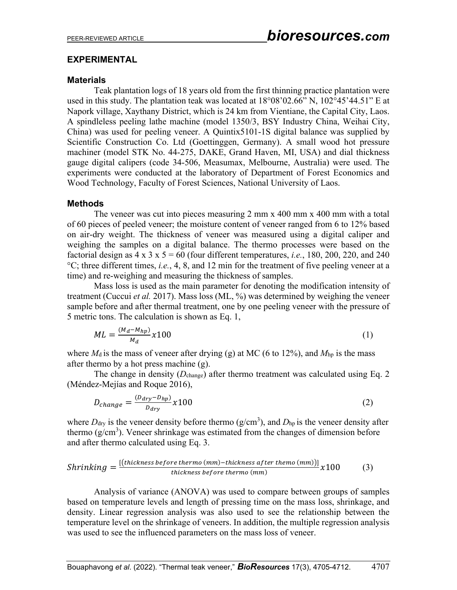#### **EXPERIMENTAL**

#### **Materials**

Teak plantation logs of 18 years old from the first thinning practice plantation were used in this study. The plantation teak was located at 18°08'02.66" N, 102°45'44.51" E at Napork village, Xaythany District, which is 24 km from Vientiane, the Capital City, Laos. A spindleless peeling lathe machine (model 1350/3, BSY Industry China, Weihai City, China) was used for peeling veneer. A Quintix5101-1S digital balance was supplied by Scientific Construction Co. Ltd (Goettinggen, Germany). A small wood hot pressure machiner (model STK No. 44-275, DAKE, Grand Haven, MI, USA) and dial thickness gauge digital calipers (code 34-506, Measumax, Melbourne, Australia) were used. The experiments were conducted at the laboratory of Department of Forest Economics and Wood Technology, Faculty of Forest Sciences, National University of Laos.

#### **Methods**

The veneer was cut into pieces measuring 2 mm x 400 mm x 400 mm with a total of 60 pieces of peeled veneer; the moisture content of veneer ranged from 6 to 12% based on air-dry weight. The thickness of veneer was measured using a digital caliper and weighing the samples on a digital balance. The thermo processes were based on the factorial design as  $4 \times 3 \times 5 = 60$  (four different temperatures, *i.e.*, 180, 200, 220, and 240 °C; three different times, *i.e.*, 4, 8, and 12 min for the treatment of five peeling veneer at a time) and re-weighing and measuring the thickness of samples.

Mass loss is used as the main parameter for denoting the modification intensity of treatment (Cuccui *et al.* 2017). Mass loss (ML, %) was determined by weighing the veneer sample before and after thermal treatment, one by one peeling veneer with the pressure of 5 metric tons. The calculation is shown as Eq. 1,

$$
ML = \frac{(M_d - M_{hp})}{M_d} \chi 100
$$
 (1)

where  $M_d$  is the mass of veneer after drying (g) at MC (6 to 12%), and  $M_{\text{hp}}$  is the mass after thermo by a hot press machine (g).

The change in density (*D*change) after thermo treatment was calculated using Eq. 2 (Méndez-Mejías and Roque 2016),

$$
D_{change} = \frac{(D_{dry} - D_{hp})}{D_{dry}} x 100
$$
\n<sup>(2)</sup>

where  $D_{\text{dry}}$  is the veneer density before thermo ( $g/cm<sup>3</sup>$ ), and  $D_{\text{hp}}$  is the veneer density after thermo  $(g/cm<sup>3</sup>)$ . Veneer shrinkage was estimated from the changes of dimension before and after thermo calculated using Eq. 3.

$$
Shrinking = \frac{[(thickness before thermo (mm) - thickness after themo (mm))]}{thickness before thermo (mm)} \times 100
$$
 (3)

Analysis of variance (ANOVA) was used to compare between groups of samples based on temperature levels and length of pressing time on the mass loss, shrinkage, and density. Linear regression analysis was also used to see the relationship between the temperature level on the shrinkage of veneers. In addition, the multiple regression analysis was used to see the influenced parameters on the mass loss of veneer.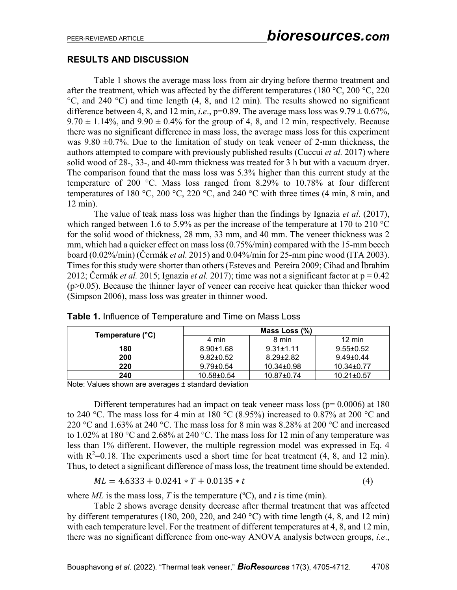## **RESULTS AND DISCUSSION**

Table 1 shows the average mass loss from air drying before thermo treatment and after the treatment, which was affected by the different temperatures (180 °C, 200 °C, 220  $°C$ , and 240 °C) and time length (4, 8, and 12 min). The results showed no significant difference between 4, 8, and 12 min, *i.e.*,  $p=0.89$ . The average mass loss was  $9.79 \pm 0.67\%$ ,  $9.70 \pm 1.14\%$ , and  $9.90 \pm 0.4\%$  for the group of 4, 8, and 12 min, respectively. Because there was no significant difference in mass loss, the average mass loss for this experiment was 9.80  $\pm$ 0.7%. Due to the limitation of study on teak veneer of 2-mm thickness, the authors attempted to compare with previously published results (Cuccui *et al.* 2017) where solid wood of 28-, 33-, and 40-mm thickness was treated for 3 h but with a vacuum dryer. The comparison found that the mass loss was 5.3% higher than this current study at the temperature of 200 °C. Mass loss ranged from 8.29% to 10.78% at four different temperatures of 180 °C, 200 °C, 220 °C, and 240 °C with three times (4 min, 8 min, and 12 min).

The value of teak mass loss was higher than the findings by Ignazia *et al*. (2017), which ranged between 1.6 to 5.9% as per the increase of the temperature at 170 to 210 °C for the solid wood of thickness, 28 mm, 33 mm, and 40 mm. The veneer thickness was 2 mm, which had a quicker effect on mass loss (0.75%/min) compared with the 15-mm beech board (0.02%/min) (Čermák *et al.* 2015) and 0.04%/min for 25-mm pine wood (ITA 2003). Times for this study were shorter than others (Esteves and Pereira 2009; Cihad and İbrahim 2012; Čermák *et al.* 2015; Ignazia *et al.* 2017); time was not a significant factor at p = 0.42 (p>0.05). Because the thinner layer of veneer can receive heat quicker than thicker wood (Simpson 2006), mass loss was greater in thinner wood.

| Temperature (°C) | Mass Loss $(\%)$ |                  |                  |
|------------------|------------------|------------------|------------------|
|                  | 4 min            | 8 min            | $12 \text{ min}$ |
| 180              | $8.90 \pm 1.68$  | $9.31 \pm 1.11$  | $9.55 \pm 0.52$  |
| 200              | $9.82 \pm 0.52$  | $8.29 + 2.82$    | $9.49 \pm 0.44$  |
| 220              | $9.79 \pm 0.54$  | $10.34 \pm 0.98$ | $10.34 \pm 0.77$ |
| 240              | $10.58 \pm 0.54$ | $10.87 \pm 0.74$ | $10.21 \pm 0.57$ |

**Table 1.** Influence of Temperature and Time on Mass Loss

Note: Values shown are averages ± standard deviation

Different temperatures had an impact on teak veneer mass loss ( $p= 0.0006$ ) at 180 to 240 °C. The mass loss for 4 min at 180 °C (8.95%) increased to 0.87% at 200 °C and 220 °C and 1.63% at 240 °C. The mass loss for 8 min was 8.28% at 200 °C and increased to 1.02% at 180 °C and 2.68% at 240 °C. The mass loss for 12 min of any temperature was less than 1% different. However, the multiple regression model was expressed in Eq. 4 with  $R^2=0.18$ . The experiments used a short time for heat treatment (4, 8, and 12 min). Thus, to detect a significant difference of mass loss, the treatment time should be extended.

$$
ML = 4.6333 + 0.0241 * T + 0.0135 * t \tag{4}
$$

where  $ML$  is the mass loss, T is the temperature ( $\rm{^oC}$ ), and t is time (min).

Table 2 shows average density decrease after thermal treatment that was affected by different temperatures (180, 200, 220, and 240 °C) with time length (4, 8, and 12 min) with each temperature level. For the treatment of different temperatures at 4, 8, and 12 min, there was no significant difference from one-way ANOVA analysis between groups, *i.e*.,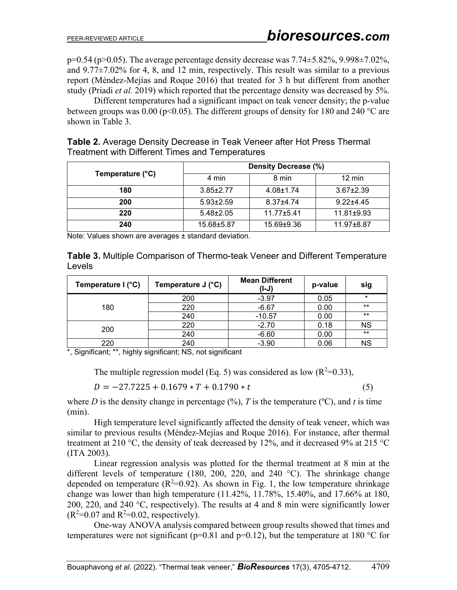$p=0.54$  ( $p>0.05$ ). The average percentage density decrease was  $7.74\pm5.82\%$ ,  $9.998\pm7.02\%$ , and  $9.77\pm7.02\%$  for 4, 8, and 12 min, respectively. This result was similar to a previous report (Méndez-Mejías and Roque 2016) that treated for 3 h but different from another study (Priadi *et al.* 2019) which reported that the percentage density was decreased by 5%.

Different temperatures had a significant impact on teak veneer density; the p-value between groups was 0.00 (p<0.05). The different groups of density for 180 and 240 °C are shown in Table 3.

**Table 2.** Average Density Decrease in Teak Veneer after Hot Press Thermal Treatment with Different Times and Temperatures

| Temperature (°C) | Density Decrease (%) |                 |                  |  |
|------------------|----------------------|-----------------|------------------|--|
|                  | 4 min                | 8 min           | $12 \text{ min}$ |  |
| 180              | $3.85 \pm 2.77$      | $4.08 \pm 1.74$ | $3.67 \pm 2.39$  |  |
| 200              | $5.93 \pm 2.59$      | $8.37 + 4.74$   | $9.22 + 4.45$    |  |
| 220              | $5.48 \pm 2.05$      | $11.77 + 5.41$  | $11.81 \pm 9.93$ |  |
| 240              | 15.68±5.87           | 15.69±9.36      | 11.97±8.87       |  |

Note: Values shown are averages ± standard deviation.

**Table 3.** Multiple Comparison of Thermo-teak Veneer and Different Temperature Levels

| Temperature I (°C) | Temperature J (°C) | <b>Mean Different</b><br>$(I-J)$ | p-value | sig       |
|--------------------|--------------------|----------------------------------|---------|-----------|
| 180                | 200                | $-3.97$                          | 0.05    | $\star$   |
|                    | 220                | $-6.67$                          | 0.00    | $***$     |
|                    | 240                | $-10.57$                         | 0.00    | $***$     |
| 200                | 220                | $-2.70$                          | 0.18    | <b>NS</b> |
|                    | 240                | $-6.60$                          | 0.00    | $***$     |
| 220                | 240                | $-3.90$                          | 0.06    | <b>NS</b> |

\*, Significant; \*\*, highly significant; NS, not significant

The multiple regression model (Eq. 5) was considered as low  $(R^2=0.33)$ ,

$$
D = -27.7225 + 0.1679 * T + 0.1790 * t \tag{5}
$$

where *D* is the density change in percentage  $(\%)$ , *T* is the temperature  $(\degree C)$ , and *t* is time (min).

High temperature level significantly affected the density of teak veneer, which was similar to previous results (Méndez-Mejías and Roque 2016). For instance, after thermal treatment at 210 °C, the density of teak decreased by 12%, and it decreased 9% at 215 °C (ITA 2003).

Linear regression analysis was plotted for the thermal treatment at 8 min at the different levels of temperature (180, 200, 220, and 240  $^{\circ}$ C). The shrinkage change depended on temperature ( $R^2$ =0.92). As shown in Fig. 1, the low temperature shrinkage change was lower than high temperature (11.42%, 11.78%, 15.40%, and 17.66% at 180, 200, 220, and 240 °C, respectively). The results at 4 and 8 min were significantly lower  $(R^2=0.07$  and  $R^2=0.02$ , respectively).

One-way ANOVA analysis compared between group results showed that times and temperatures were not significant ( $p=0.81$  and  $p=0.12$ ), but the temperature at 180 °C for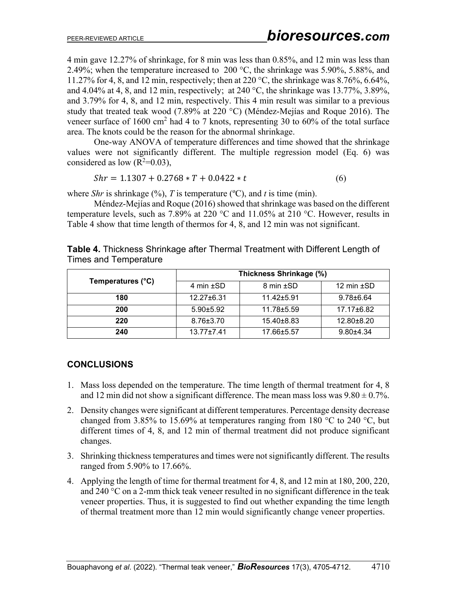4 min gave 12.27% of shrinkage, for 8 min was less than 0.85%, and 12 min was less than 2.49%; when the temperature increased to 200  $^{\circ}$ C, the shrinkage was 5.90%, 5.88%, and 11.27% for 4, 8, and 12 min, respectively; then at 220 °C, the shrinkage was 8.76%, 6.64%, and 4.04% at 4, 8, and 12 min, respectively; at 240 °C, the shrinkage was 13.77%, 3.89%, and 3.79% for 4, 8, and 12 min, respectively. This 4 min result was similar to a previous study that treated teak wood (7.89% at 220 °C) (Méndez-Mejías and Roque 2016). The veneer surface of  $1600 \text{ cm}^2$  had 4 to 7 knots, representing 30 to  $60\%$  of the total surface area. The knots could be the reason for the abnormal shrinkage.

One-way ANOVA of temperature differences and time showed that the shrinkage values were not significantly different. The multiple regression model (Eq. 6) was considered as low  $(R^2=0.03)$ ,

$$
Shr = 1.1307 + 0.2768 * T + 0.0422 * t \tag{6}
$$

where *Shr* is shrinkage  $(\%)$ , *T* is temperature  $(\degree C)$ , and *t* is time (min).

Méndez-Mejías and Roque (2016) showed that shrinkage was based on the different temperature levels, such as 7.89% at 220 °C and 11.05% at 210 °C. However, results in Table 4 show that time length of thermos for 4, 8, and 12 min was not significant.

| Temperatures (°C) | Thickness Shrinkage (%) |                |                 |
|-------------------|-------------------------|----------------|-----------------|
|                   | 4 min $\pm$ SD          | 8 min ±SD      | 12 min $\pm$ SD |
| 180               | $12.27 \pm 6.31$        | $11.42 + 5.91$ | $9.78 \pm 6.64$ |
| 200               | $5.90 + 5.92$           | 11.78±5.59     | 17.17±6.82      |
| 220               | $8.76 \pm 3.70$         | 15.40±8.83     | 12.80±8.20      |
| 240               | $13.77 + 7.41$          | 17.66±5.57     | $9.80 + 4.34$   |

**Table 4.** Thickness Shrinkage after Thermal Treatment with Different Length of Times and Temperature

# **CONCLUSIONS**

- 1. Mass loss depended on the temperature. The time length of thermal treatment for 4, 8 and 12 min did not show a significant difference. The mean mass loss was  $9.80 \pm 0.7\%$ .
- 2. Density changes were significant at different temperatures. Percentage density decrease changed from 3.85% to 15.69% at temperatures ranging from 180  $^{\circ}$ C to 240  $^{\circ}$ C, but different times of 4, 8, and 12 min of thermal treatment did not produce significant changes.
- 3. Shrinking thickness temperatures and times were not significantly different. The results ranged from 5.90% to 17.66%.
- 4. Applying the length of time for thermal treatment for 4, 8, and 12 min at 180, 200, 220, and 240 °C on a 2-mm thick teak veneer resulted in no significant difference in the teak veneer properties. Thus, it is suggested to find out whether expanding the time length of thermal treatment more than 12 min would significantly change veneer properties.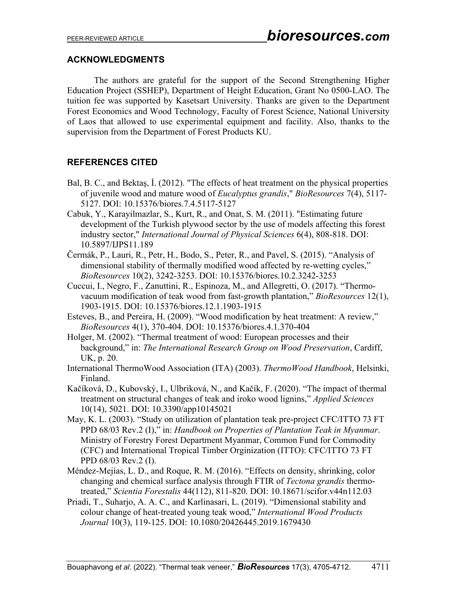## **ACKNOWLEDGMENTS**

The authors are grateful for the support of the Second Strengthening Higher Education Project (SSHEP), Department of Height Education, Grant No 0500-LAO. The tuition fee was supported by Kasetsart University. Thanks are given to the Department Forest Economics and Wood Technology, Faculty of Forest Science, National University of Laos that allowed to use experimental equipment and facility. Also, thanks to the supervision from the Department of Forest Products KU.

# **REFERENCES CITED**

- Bal, B. C., and Bektaş, İ. (2012). "The effects of heat treatment on the physical properties of juvenile wood and mature wood of *Eucalyptus grandis*," *BioResources* 7(4), 5117- 5127. DOI: 10.15376/biores.7.4.5117-5127
- Cabuk, Y., Karayilmazlar, S., Kurt, R., and Onat, S. M. (2011). "Estimating future development of the Turkish plywood sector by the use of models affecting this forest industry sector," *International Journal of Physical Sciences* 6(4), 808-818. DOI: 10.5897/IJPS11.189
- Čermák, P., Lauri, R., Petr, H., Bodo, S., Peter, R., and Pavel, S. (2015). "Analysis of dimensional stability of thermally modified wood affected by re-wetting cycles," *BioResources* 10(2), 3242-3253. DOI: 10.15376/biores.10.2.3242-3253
- Cuccui, I., Negro, F., Zanuttini, R., Espinoza, M., and Allegretti, O. (2017). "Thermovacuum modification of teak wood from fast-growth plantation," *BioResources* 12(1), 1903-1915. DOI: 10.15376/biores.12.1.1903-1915
- Esteves, B., and Pereira, H. (2009). "Wood modification by heat treatment: A review," *BioResources* 4(1), 370-404. DOI: 10.15376/biores.4.1.370-404
- Holger, M. (2002). "Thermal treatment of wood: European processes and their background," in: *The International Research Group on Wood Preservation*, Cardiff, UK, p. 20.
- International ThermoWood Association (ITA) (2003). *ThermoWood Handbook*, Helsinki, Finland.
- Kačíková, D., Kubovský, I., Ulbriková, N., and Kačík, F. (2020). "The impact of thermal treatment on structural changes of teak and iroko wood lignins," *Applied Sciences*  10(14), 5021. DOI: 10.3390/app10145021
- May, K. L. (2003). "Study on utilization of plantation teak pre-project CFC/ITTO 73 FT PPD 68/03 Rev.2 (I)," in: *Handbook on Properties of Plantation Teak in Myanmar*. Ministry of Forestry Forest Department Myanmar, Common Fund for Commodity (CFC) and International Tropical Timber Orginization (ITTO): CFC/ITTO 73 FT PPD 68/03 Rev.2 (I).
- Méndez-Mejías, L. D., and Roque, R. M. (2016). "Effects on density, shrinking, color changing and chemical surface analysis through FTIR of *Tectona grandis* thermotreated," *Scientia Forestalis* 44(112), 811-820. DOI: 10.18671/scifor.v44n112.03
- Priadi, T., Suharjo, A. A. C., and Karlinasari, L. (2019). "Dimensional stability and colour change of heat-treated young teak wood," *International Wood Products Journal* 10(3), 119-125. DOI: 10.1080/20426445.2019.1679430